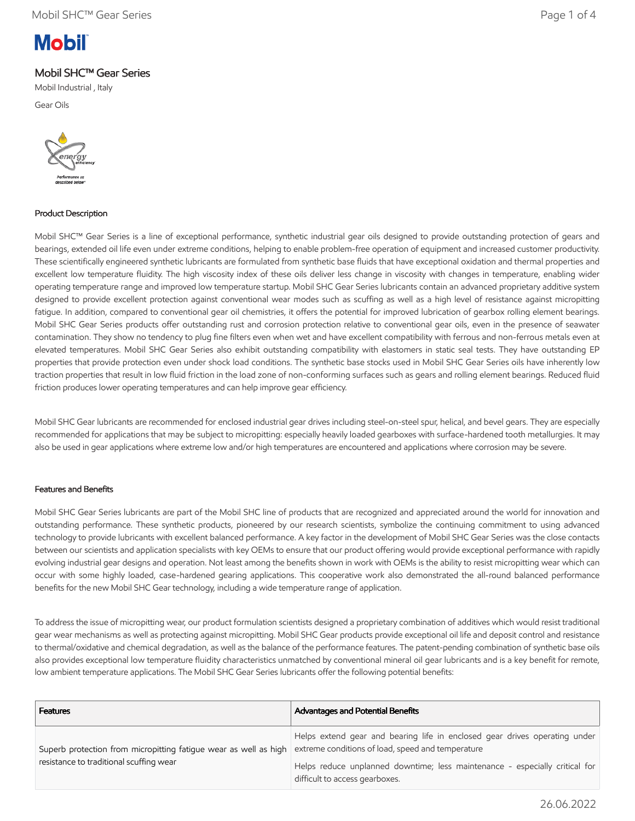# **Mobil**

# Mobil SHC™ Gear Series

Mobil Industrial , Italy

Gear Oils



# Product Description

Mobil SHC™ Gear Series is a line of exceptional performance, synthetic industrial gear oils designed to provide outstanding protection of gears and bearings, extended oil life even under extreme conditions, helping to enable problem-free operation of equipment and increased customer productivity. These scientifically engineered synthetic lubricants are formulated from synthetic base fluids that have exceptional oxidation and thermal properties and excellent low temperature fluidity. The high viscosity index of these oils deliver less change in viscosity with changes in temperature, enabling wider operating temperature range and improved low temperature startup. Mobil SHC Gear Series lubricants contain an advanced proprietary additive system designed to provide excellent protection against conventional wear modes such as scuffing as well as a high level of resistance against micropitting fatigue. In addition, compared to conventional gear oil chemistries, it offers the potential for improved lubrication of gearbox rolling element bearings. Mobil SHC Gear Series products offer outstanding rust and corrosion protection relative to conventional gear oils, even in the presence of seawater contamination. They show no tendency to plug fine filters even when wet and have excellent compatibility with ferrous and non-ferrous metals even at elevated temperatures. Mobil SHC Gear Series also exhibit outstanding compatibility with elastomers in static seal tests. They have outstanding EP properties that provide protection even under shock load conditions. The synthetic base stocks used in Mobil SHC Gear Series oils have inherently low traction properties that result in low fluid friction in the load zone of non-conforming surfaces such as gears and rolling element bearings. Reduced fluid friction produces lower operating temperatures and can help improve gear efficiency.

Mobil SHC Gear lubricants are recommended for enclosed industrial gear drives including steel-on-steel spur, helical, and bevel gears. They are especially recommended for applications that may be subject to micropitting: especially heavily loaded gearboxes with surface-hardened tooth metallurgies. It may also be used in gear applications where extreme low and/or high temperatures are encountered and applications where corrosion may be severe.

# Features and Benefits

Mobil SHC Gear Series lubricants are part of the Mobil SHC line of products that are recognized and appreciated around the world for innovation and outstanding performance. These synthetic products, pioneered by our research scientists, symbolize the continuing commitment to using advanced technology to provide lubricants with excellent balanced performance. A key factor in the development of Mobil SHC Gear Series was the close contacts between our scientists and application specialists with key OEMs to ensure that our product offering would provide exceptional performance with rapidly evolving industrial gear designs and operation. Not least among the benefits shown in work with OEMs is the ability to resist micropitting wear which can occur with some highly loaded, case-hardened gearing applications. This cooperative work also demonstrated the all-round balanced performance benefits for the new Mobil SHC Gear technology, including a wide temperature range of application.

To address the issue of micropitting wear, our product formulation scientists designed a proprietary combination of additives which would resist traditional gear wear mechanisms as well as protecting against micropitting. Mobil SHC Gear products provide exceptional oil life and deposit control and resistance to thermal/oxidative and chemical degradation, as well as the balance of the performance features. The patent-pending combination of synthetic base oils also provides exceptional low temperature fluidity characteristics unmatched by conventional mineral oil gear lubricants and is a key benefit for remote, low ambient temperature applications. The Mobil SHC Gear Series lubricants offer the following potential benefits:

| <b>Features</b>                                                                                             | <b>Advantages and Potential Benefits</b>                                                                                        |
|-------------------------------------------------------------------------------------------------------------|---------------------------------------------------------------------------------------------------------------------------------|
| Superb protection from micropitting fatigue wear as well as high<br>resistance to traditional scuffing wear | Helps extend gear and bearing life in enclosed gear drives operating under<br>extreme conditions of load, speed and temperature |
|                                                                                                             | Helps reduce unplanned downtime; less maintenance - especially critical for<br>difficult to access gearboxes.                   |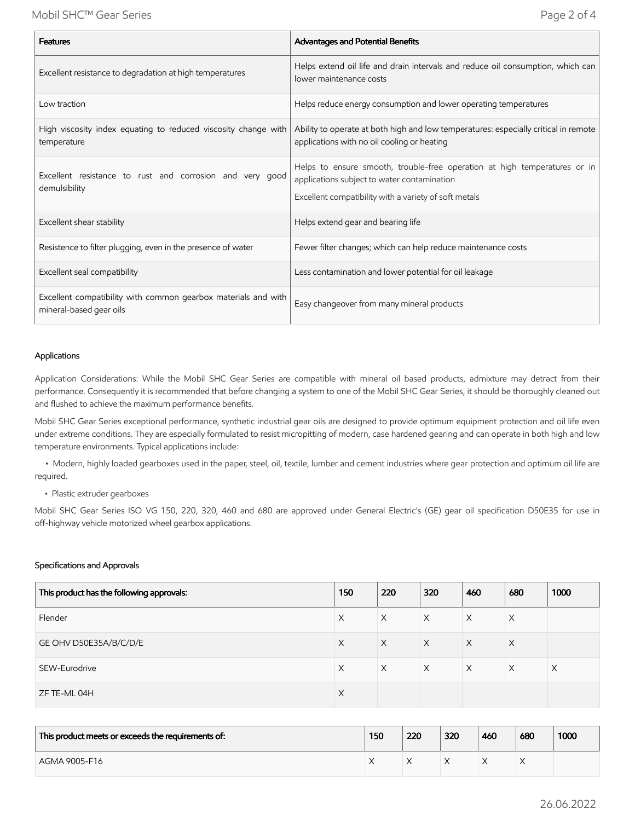| <b>Features</b>                                                                           | Advantages and Potential Benefits                                                                                                                                                 |
|-------------------------------------------------------------------------------------------|-----------------------------------------------------------------------------------------------------------------------------------------------------------------------------------|
| Excellent resistance to degradation at high temperatures                                  | Helps extend oil life and drain intervals and reduce oil consumption, which can<br>lower maintenance costs                                                                        |
| Low traction                                                                              | Helps reduce energy consumption and lower operating temperatures                                                                                                                  |
| High viscosity index equating to reduced viscosity change with<br>temperature             | Ability to operate at both high and low temperatures: especially critical in remote<br>applications with no oil cooling or heating                                                |
| Excellent resistance to rust and corrosion and very good<br>demulsibility                 | Helps to ensure smooth, trouble-free operation at high temperatures or in<br>applications subject to water contamination<br>Excellent compatibility with a variety of soft metals |
| Excellent shear stability                                                                 | Helps extend gear and bearing life                                                                                                                                                |
| Resistence to filter plugging, even in the presence of water                              | Fewer filter changes; which can help reduce maintenance costs                                                                                                                     |
| Excellent seal compatibility                                                              | Less contamination and lower potential for oil leakage                                                                                                                            |
| Excellent compatibility with common gearbox materials and with<br>mineral-based gear oils | Easy changeover from many mineral products                                                                                                                                        |

### Applications

Application Considerations: While the Mobil SHC Gear Series are compatible with mineral oil based products, admixture may detract from their performance. Consequently it is recommended that before changing a system to one of the Mobil SHC Gear Series, it should be thoroughly cleaned out and flushed to achieve the maximum performance benefits.

Mobil SHC Gear Series exceptional performance, synthetic industrial gear oils are designed to provide optimum equipment protection and oil life even under extreme conditions. They are especially formulated to resist micropitting of modern, case hardened gearing and can operate in both high and low temperature environments. Typical applications include:

 • Modern, highly loaded gearboxes used in the paper, steel, oil, textile, lumber and cement industries where gear protection and optimum oil life are required.

• Plastic extruder gearboxes

Mobil SHC Gear Series ISO VG 150, 220, 320, 460 and 680 are approved under General Electric's (GE) gear oil specification D50E35 for use in off-highway vehicle motorized wheel gearbox applications.

#### Specifications and Approvals

| This product has the following approvals: | 150      | 220      | 320      | 460      | 680      | 1000     |
|-------------------------------------------|----------|----------|----------|----------|----------|----------|
| Flender                                   | Χ        | X        | X        | Χ        | X        |          |
| GE OHV D50E35A/B/C/D/E                    | X        | $\times$ | $\times$ | $\times$ | $\times$ |          |
| SEW-Eurodrive                             | X        | $\times$ | $\times$ | $\times$ | $\times$ | $\times$ |
| ZF TE-ML 04H                              | $\times$ |          |          |          |          |          |

| This product meets or exceeds the requirements of: | 150 | 220 | 320 | 460 | 680 | 1000 |
|----------------------------------------------------|-----|-----|-----|-----|-----|------|
| AGMA 9005-F16                                      |     |     |     |     |     |      |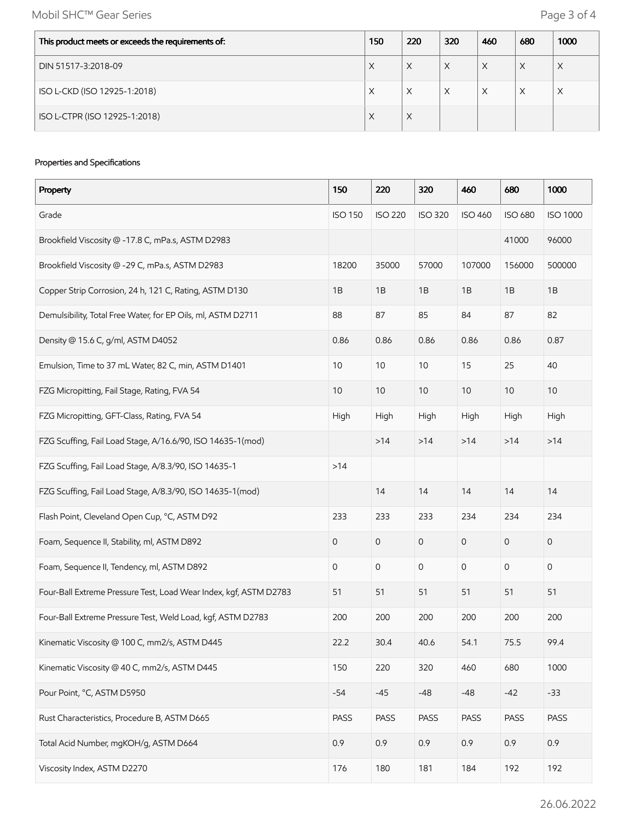Mobil SHC™ Gear Series **Page 3 of 4** 

| This product meets or exceeds the requirements of: | 150 | 220 | 320 | 460 | 680 | 1000 |
|----------------------------------------------------|-----|-----|-----|-----|-----|------|
| DIN 51517-3:2018-09                                | X   | X   | X   | X   | X   | X    |
| ISO L-CKD (ISO 12925-1:2018)                       | X   | X   | Χ   | X   | X   | X    |
| ISO L-CTPR (ISO 12925-1:2018)                      | X   | X   |     |     |     |      |

## Properties and Specifications

| Property                                                          | 150            | 220            | 320            | 460            | 680            | 1000            |
|-------------------------------------------------------------------|----------------|----------------|----------------|----------------|----------------|-----------------|
| Grade                                                             | <b>ISO 150</b> | <b>ISO 220</b> | <b>ISO 320</b> | <b>ISO 460</b> | <b>ISO 680</b> | <b>ISO 1000</b> |
| Brookfield Viscosity @ -17.8 C, mPa.s, ASTM D2983                 |                |                |                |                | 41000          | 96000           |
| Brookfield Viscosity @ -29 C, mPa.s, ASTM D2983                   | 18200          | 35000          | 57000          | 107000         | 156000         | 500000          |
| Copper Strip Corrosion, 24 h, 121 C, Rating, ASTM D130            | 1B             | 1B             | 1B             | 1B             | 1B             | 1B              |
| Demulsibility, Total Free Water, for EP Oils, ml, ASTM D2711      | 88             | 87             | 85             | 84             | 87             | 82              |
| Density @ 15.6 C, g/ml, ASTM D4052                                | 0.86           | 0.86           | 0.86           | 0.86           | 0.86           | 0.87            |
| Emulsion, Time to 37 mL Water, 82 C, min, ASTM D1401              | 10             | 10             | 10             | 15             | 25             | 40              |
| FZG Micropitting, Fail Stage, Rating, FVA 54                      | 10             | 10             | 10             | $10$           | 10             | 10              |
| FZG Micropitting, GFT-Class, Rating, FVA 54                       | High           | High           | High           | High           | High           | High            |
| FZG Scuffing, Fail Load Stage, A/16.6/90, ISO 14635-1(mod)        |                | >14            | >14            | $>14$          | $>14$          | >14             |
| FZG Scuffing, Fail Load Stage, A/8.3/90, ISO 14635-1              | $>14$          |                |                |                |                |                 |
| FZG Scuffing, Fail Load Stage, A/8.3/90, ISO 14635-1(mod)         |                | 14             | 14             | 14             | 14             | 14              |
| Flash Point, Cleveland Open Cup, °C, ASTM D92                     | 233            | 233            | 233            | 234            | 234            | 234             |
| Foam, Sequence II, Stability, ml, ASTM D892                       | 0              | 0              | $\mathbf 0$    | 0              | 0              | 0               |
| Foam, Sequence II, Tendency, ml, ASTM D892                        | 0              | 0              | 0              | 0              | 0              | 0               |
| Four-Ball Extreme Pressure Test, Load Wear Index, kgf, ASTM D2783 | 51             | 51             | 51             | 51             | 51             | 51              |
| Four-Ball Extreme Pressure Test, Weld Load, kgf, ASTM D2783       | 200            | 200            | 200            | 200            | 200            | 200             |
| Kinematic Viscosity @ 100 C, mm2/s, ASTM D445                     | 22.2           | 30.4           | 40.6           | 54.1           | 75.5           | 99.4            |
| Kinematic Viscosity @ 40 C, mm2/s, ASTM D445                      | 150            | 220            | 320            | 460            | 680            | 1000            |
| Pour Point, °C, ASTM D5950                                        | $-54$          | $-45$          | $-48$          | $-48$          | $-42$          | $-33$           |
| Rust Characteristics, Procedure B, ASTM D665                      | PASS           | PASS           | PASS           | PASS           | PASS           | PASS            |
| Total Acid Number, mgKOH/g, ASTM D664                             | 0.9            | 0.9            | 0.9            | 0.9            | 0.9            | 0.9             |
| Viscosity Index, ASTM D2270                                       | 176            | 180            | 181            | 184            | 192            | 192             |